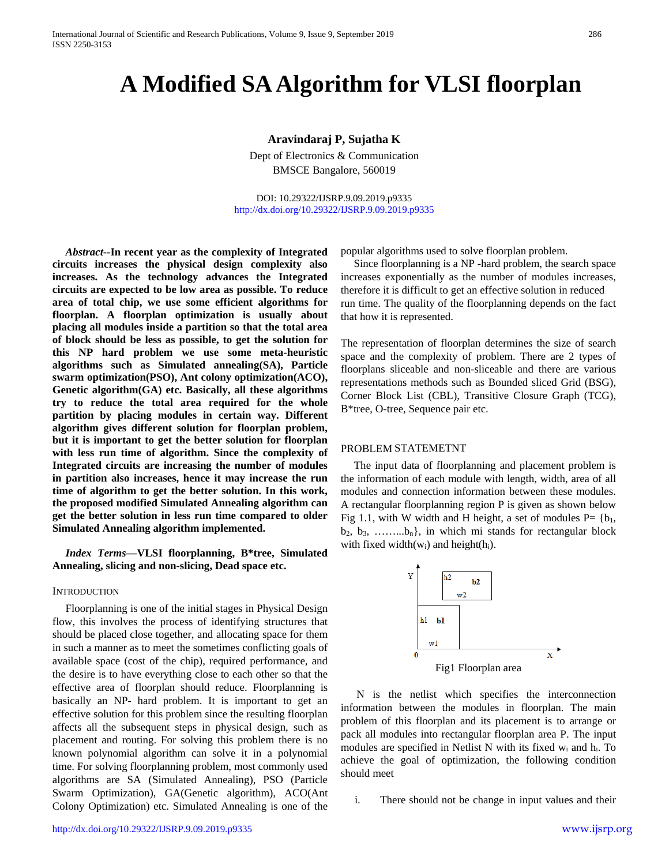# **A Modified SA Algorithm for VLSI floorplan**

# **Aravindaraj P, Sujatha K**

Dept of Electronics & Communication BMSCE Bangalore, 560019

DOI: 10.29322/IJSRP.9.09.2019.p9335 <http://dx.doi.org/10.29322/IJSRP.9.09.2019.p9335>

*Abstract***--In recent year as the complexity of Integrated circuits increases the physical design complexity also increases. As the technology advances the Integrated circuits are expected to be low area as possible. To reduce area of total chip, we use some efficient algorithms for floorplan. A floorplan optimization is usually about placing all modules inside a partition so that the total area of block should be less as possible, to get the solution for this NP hard problem we use some meta-heuristic algorithms such as Simulated annealing(SA), Particle swarm optimization(PSO), Ant colony optimization(ACO), Genetic algorithm(GA) etc. Basically, all these algorithms try to reduce the total area required for the whole partition by placing modules in certain way. Different algorithm gives different solution for floorplan problem, but it is important to get the better solution for floorplan with less run time of algorithm. Since the complexity of Integrated circuits are increasing the number of modules in partition also increases, hence it may increase the run time of algorithm to get the better solution. In this work, the proposed modified Simulated Annealing algorithm can get the better solution in less run time compared to older Simulated Annealing algorithm implemented.**

*Index Terms***—VLSI floorplanning, B\*tree, Simulated Annealing, slicing and non-slicing, Dead space etc.**

### **INTRODUCTION**

Floorplanning is one of the initial stages in Physical Design flow, this involves the process of identifying structures that should be placed close together, and allocating space for them in such a manner as to meet the sometimes conflicting goals of available space (cost of the chip), required performance, and the desire is to have everything close to each other so that the effective area of floorplan should reduce. Floorplanning is basically an NP- hard problem. It is important to get an effective solution for this problem since the resulting floorplan affects all the subsequent steps in physical design, such as placement and routing. For solving this problem there is no known polynomial algorithm can solve it in a polynomial time. For solving floorplanning problem, most commonly used algorithms are SA (Simulated Annealing), PSO (Particle Swarm Optimization), GA(Genetic algorithm), ACO(Ant Colony Optimization) etc. Simulated Annealing is one of the popular algorithms used to solve floorplan problem.

Since floorplanning is a NP -hard problem, the search space increases exponentially as the number of modules increases, therefore it is difficult to get an effective solution in reduced run time. The quality of the floorplanning depends on the fact that how it is represented.

The representation of floorplan determines the size of search space and the complexity of problem. There are 2 types of floorplans sliceable and non-sliceable and there are various representations methods such as Bounded sliced Grid (BSG), Corner Block List (CBL), Transitive Closure Graph (TCG), B\*tree, O-tree, Sequence pair etc.

#### PROBLEM STATEMETNT

The input data of floorplanning and placement problem is the information of each module with length, width, area of all modules and connection information between these modules. A rectangular floorplanning region P is given as shown below Fig 1.1, with W width and H height, a set of modules  $P = \{b_1,$  $b_2, b_3, \ldots, b_n$ , in which mi stands for rectangular block with fixed width( $w_i$ ) and height( $h_i$ ).



N is the netlist which specifies the interconnection information between the modules in floorplan. The main problem of this floorplan and its placement is to arrange or pack all modules into rectangular floorplan area P. The input modules are specified in Netlist N with its fixed  $w_i$  and  $h_i$ . To achieve the goal of optimization, the following condition should meet

i. There should not be change in input values and their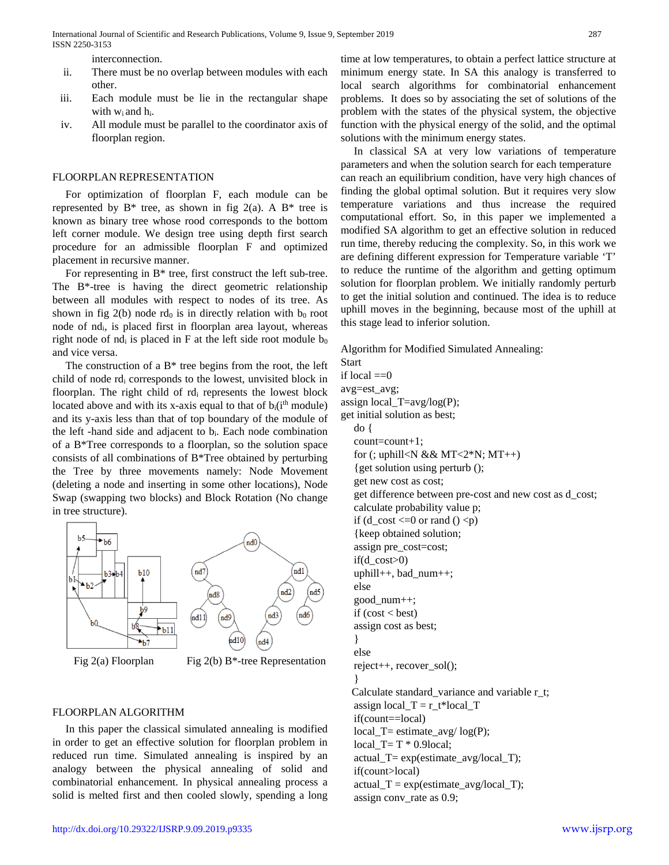interconnection.

- ii. There must be no overlap between modules with each other.
- iii. Each module must be lie in the rectangular shape with  $w_i$  and  $h_i$ .
- iv. All module must be parallel to the coordinator axis of floorplan region.

## FLOORPLAN REPRESENTATION

For optimization of floorplan F, each module can be represented by  $B^*$  tree, as shown in fig 2(a). A  $B^*$  tree is known as binary tree whose rood corresponds to the bottom left corner module. We design tree using depth first search procedure for an admissible floorplan F and optimized placement in recursive manner.

For representing in B\* tree, first construct the left sub-tree. The B\*-tree is having the direct geometric relationship between all modules with respect to nodes of its tree. As shown in fig  $2(b)$  node rd<sub>0</sub> is in directly relation with b<sub>0</sub> root node of ndi, is placed first in floorplan area layout, whereas right node of nd<sub>i</sub> is placed in F at the left side root module  $b_0$ and vice versa.

The construction of a  $B^*$  tree begins from the root, the left child of node rdi corresponds to the lowest, unvisited block in floorplan. The right child of rd<sub>i</sub> represents the lowest block located above and with its x-axis equal to that of  $b_i(i^{\text{th}} \text{ module})$ and its y-axis less than that of top boundary of the module of the left -hand side and adjacent to b<sub>i</sub>. Each node combination of a B\*Tree corresponds to a floorplan, so the solution space consists of all combinations of B\*Tree obtained by perturbing the Tree by three movements namely: Node Movement (deleting a node and inserting in some other locations), Node Swap (swapping two blocks) and Block Rotation (No change in tree structure).



# FLOORPLAN ALGORITHM

In this paper the classical simulated annealing is modified in order to get an effective solution for floorplan problem in reduced run time. Simulated annealing is inspired by an analogy between the physical annealing of solid and combinatorial enhancement. In physical annealing process a solid is melted first and then cooled slowly, spending a long

time at low temperatures, to obtain a perfect lattice structure at minimum energy state. In SA this analogy is transferred to local search algorithms for combinatorial enhancement problems. It does so by associating the set of solutions of the problem with the states of the physical system, the objective function with the physical energy of the solid, and the optimal solutions with the minimum energy states.

In classical SA at very low variations of temperature parameters and when the solution search for each temperature can reach an equilibrium condition, have very high chances of finding the global optimal solution. But it requires very slow temperature variations and thus increase the required computational effort. So, in this paper we implemented a modified SA algorithm to get an effective solution in reduced run time, thereby reducing the complexity. So, in this work we are defining different expression for Temperature variable 'T' to reduce the runtime of the algorithm and getting optimum solution for floorplan problem. We initially randomly perturb to get the initial solution and continued. The idea is to reduce uphill moves in the beginning, because most of the uphill at this stage lead to inferior solution.

Algorithm for Modified Simulated Annealing:

Start if local  $==0$ avg=est\_avg; assign local\_T=avg/log(P); get initial solution as best; do { count=count+1; for (; uphill<N && MT<2\*N;  $MT++$ ) {get solution using perturb (); get new cost as cost; get difference between pre-cost and new cost as d\_cost; calculate probability value p; if  $(d\_cost \le 0 \text{ or } rand() \le p)$ {keep obtained solution; assign pre\_cost=cost; if(d $\cos t > 0$ ) uphill $++$ , bad num $++$ ; else good\_num++; if  $(cost < best)$ assign cost as best; } else reject++, recover\_sol(); } Calculate standard variance and variable r\_t; assign local\_ $T = r_t * local_T$ if(count==local)  $local_T = estimate_avg / log(P);$ local\_T= T \* 0.9local; actual  $T= exp(estimate \t{avg/local} T)$ ; if(count>local)  $actual_T = exp(estimate_avg/local_T);$ assign conv\_rate as 0.9;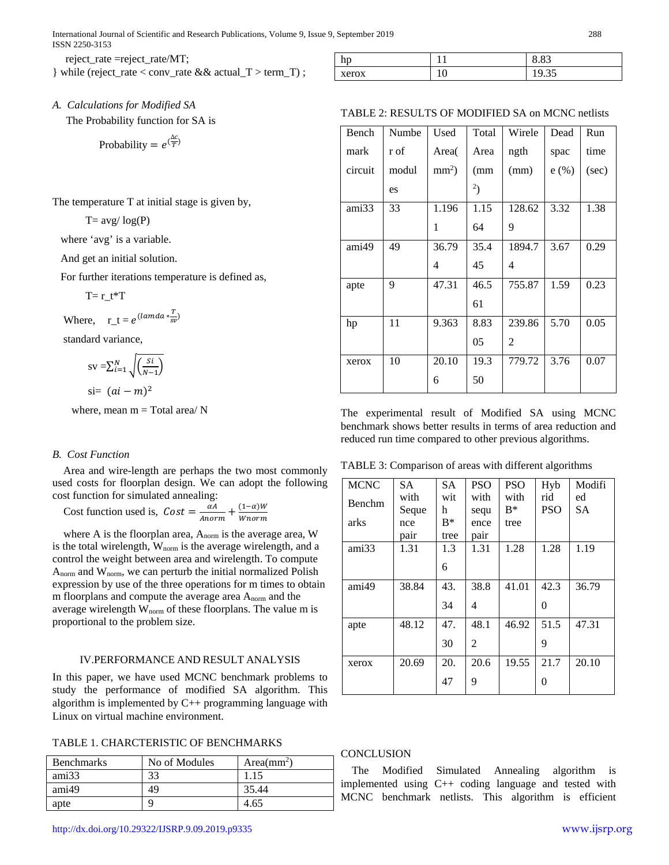reject\_rate =reject\_rate/MT;

} while (reject\_rate < conv\_rate && actual\_T > term\_T) ;

hp 11 8.83 xerox 10 19.35

# *A. Calculations for Modified SA*

The Probability function for SA is

Probability = 
$$
e^{(\frac{\Delta C}{T})}
$$

The temperature T at initial stage is given by,

 $T= avg/\log(P)$ 

where 'avg' is a variable.

And get an initial solution.

For further iterations temperature is defined as,

$$
T = r_t * T
$$

Where,  $r_t = e^{(lamda * \frac{T}{s\nu})}$ 

standard variance,

$$
sv = \sum_{i=1}^{N} \sqrt{\frac{si}{(N-1)}}
$$
  
si=  $(ai - m)^2$ 

where, mean  $m = Total area/N$ 

#### *B. Cost Function*

Area and wire-length are perhaps the two most commonly used costs for floorplan design. We can adopt the following cost function for simulated annealing:

Cost function used is,  $Cost = \frac{\alpha A}{Anorm} + \frac{(1-\alpha)W}{Wnorm}$ 

where A is the floorplan area, A<sub>norm</sub> is the average area, W is the total wirelength, W<sub>norm</sub> is the average wirelength, and a control the weight between area and wirelength. To compute  $A_{norm}$  and  $W_{norm}$ , we can perturb the initial normalized Polish expression by use of the three operations for m times to obtain m floorplans and compute the average area Anorm and the average wirelength  $W_{norm}$  of these floorplans. The value  $m$  is proportional to the problem size.

### IV.PERFORMANCE AND RESULT ANALYSIS

In this paper, we have used MCNC benchmark problems to study the performance of modified SA algorithm. This algorithm is implemented by C++ programming language with Linux on virtual machine environment.

TABLE 1. CHARCTERISTIC OF BENCHMARKS

| <b>Benchmarks</b> | No of Modules | $Area(mm^2)$ |
|-------------------|---------------|--------------|
| ami33             | 33            | 1.15         |
| ami49             | 49            | 35.44        |
| apte              | q             | 4.65         |

## TABLE 2: RESULTS OF MODIFIED SA on MCNC netlists

| Bench   | Numbe | Used    | Total | Wirele | Dead | Run   |
|---------|-------|---------|-------|--------|------|-------|
| mark    | r of  | Area(   | Area  | ngth   | spac | time  |
| circuit | modul | $mm2$ ) | (mm   | (mm)   | e(%) | (sec) |
|         | es    |         | 2)    |        |      |       |
| ami33   | 33    | 1.196   | 1.15  | 128.62 | 3.32 | 1.38  |
|         |       | 1       | 64    | 9      |      |       |
| ami49   | 49    | 36.79   | 35.4  | 1894.7 | 3.67 | 0.29  |
|         |       | 4       | 45    | 4      |      |       |
| apte    | 9     | 47.31   | 46.5  | 755.87 | 1.59 | 0.23  |
|         |       |         | 61    |        |      |       |
| hp      | 11    | 9.363   | 8.83  | 239.86 | 5.70 | 0.05  |
|         |       |         | 05    | 2      |      |       |
| xerox   | 10    | 20.10   | 19.3  | 779.72 | 3.76 | 0.07  |
|         |       | 6       | 50    |        |      |       |

The experimental result of Modified SA using MCNC benchmark shows better results in terms of area reduction and reduced run time compared to other previous algorithms.

TABLE 3: Comparison of areas with different algorithms

| <b>MCNC</b>   | <b>SA</b> | <b>SA</b> | <b>PSO</b> | <b>PSO</b> | Hyb        | Modifi |
|---------------|-----------|-----------|------------|------------|------------|--------|
| <b>Benchm</b> | with      | wit       | with       | with       | rid        | ed     |
|               | Seque     | h         | sequ       | $R^*$      | <b>PSO</b> | SА     |
| arks          | nce       | $R*$      | ence       | tree       |            |        |
|               | pair      | tree      | pair       |            |            |        |
| ami33         | 1.31      | 1.3       | 1.31       | 1.28       | 1.28       | 1.19   |
|               |           | 6         |            |            |            |        |
| ami49         | 38.84     | 43.       | 38.8       | 41.01      | 42.3       | 36.79  |
|               |           | 34        | 4          |            | 0          |        |
| apte          | 48.12     | 47.       | 48.1       | 46.92      | 51.5       | 47.31  |
|               |           | 30        | 2          |            | 9          |        |
| xerox         | 20.69     | 20.       | 20.6       | 19.55      | 21.7       | 20.10  |
|               |           | 47        | 9          |            | 0          |        |

## **CONCLUSION**

The Modified Simulated Annealing algorithm is implemented using C++ coding language and tested with MCNC benchmark netlists. This algorithm is efficient